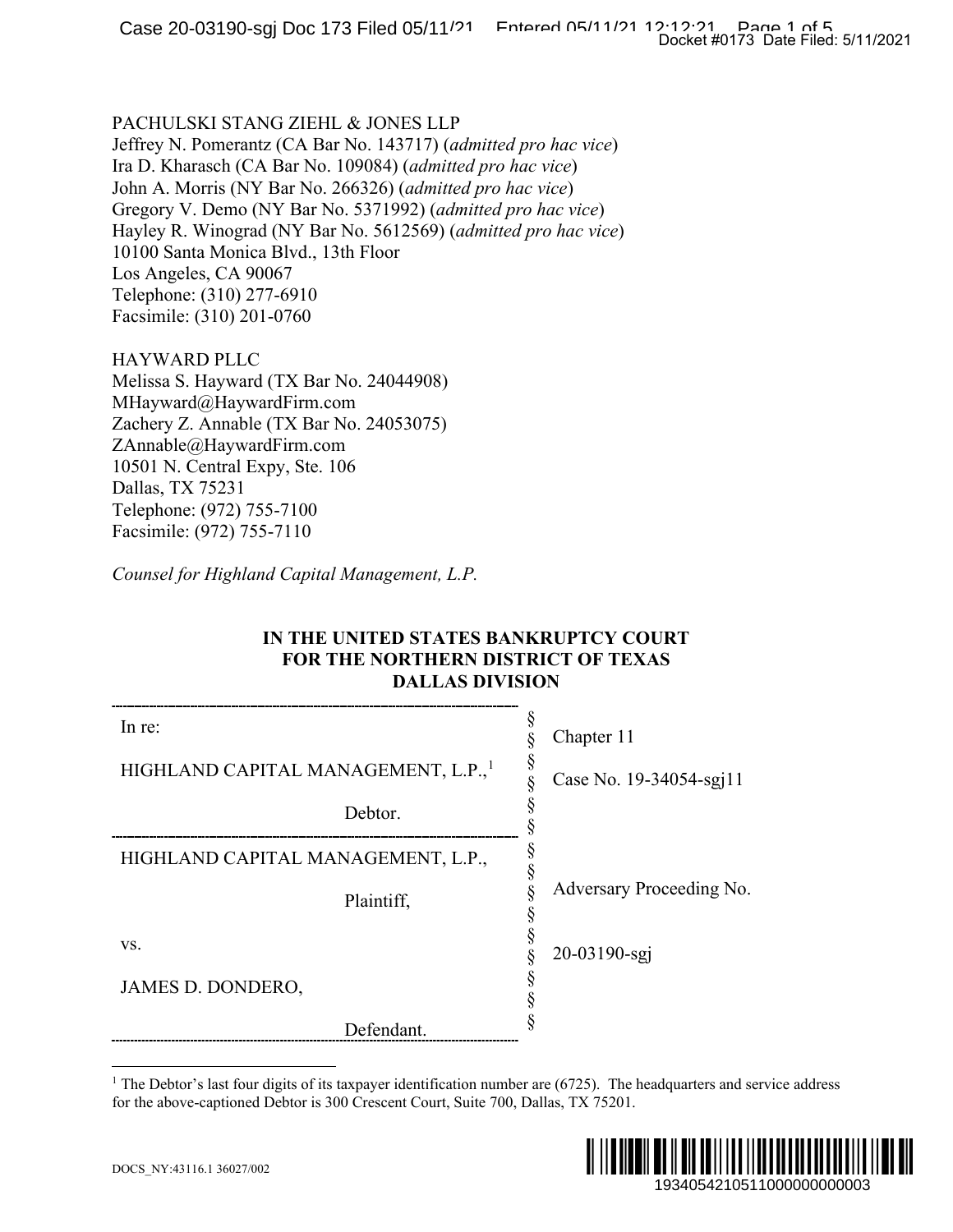### PACHULSKI STANG ZIEHL & JONES LLP

### HAYWARD PLLC

## <span id="page-0-0"></span>**IN THE UNITED STATES BANKRUPTCY COURT FOR THE NORTHERN DISTRICT OF TEXAS DALLAS DIVISION**

|                                                                                                                                                                                                                                                                                                                                                                                                                                                                                                  | Docket #0173 Date Filed: 5/11/2021 |
|--------------------------------------------------------------------------------------------------------------------------------------------------------------------------------------------------------------------------------------------------------------------------------------------------------------------------------------------------------------------------------------------------------------------------------------------------------------------------------------------------|------------------------------------|
| PACHULSKI STANG ZIEHL & JONES LLP<br>Jeffrey N. Pomerantz (CA Bar No. 143717) (admitted pro hac vice)<br>Ira D. Kharasch (CA Bar No. 109084) (admitted pro hac vice)<br>John A. Morris (NY Bar No. 266326) (admitted pro hac vice)<br>Gregory V. Demo (NY Bar No. 5371992) (admitted pro hac vice)<br>Hayley R. Winograd (NY Bar No. 5612569) (admitted pro hac vice)<br>10100 Santa Monica Blvd., 13th Floor<br>Los Angeles, CA 90067<br>Telephone: (310) 277-6910<br>Facsimile: (310) 201-0760 |                                    |
| HAYWARD PLLC<br>Melissa S. Hayward (TX Bar No. 24044908)<br>MHayward@HaywardFirm.com<br>Zachery Z. Annable (TX Bar No. 24053075)<br>ZAnnable@HaywardFirm.com<br>10501 N. Central Expy, Ste. 106<br>Dallas, TX 75231<br>Telephone: (972) 755-7100<br>Facsimile: (972) 755-7110                                                                                                                                                                                                                    |                                    |
| Counsel for Highland Capital Management, L.P.                                                                                                                                                                                                                                                                                                                                                                                                                                                    |                                    |
| IN THE UNITED STATES BANKRUPTCY COURT<br><b>FOR THE NORTHERN DISTRICT OF TEXAS</b><br><b>DALLAS DIVISION</b>                                                                                                                                                                                                                                                                                                                                                                                     |                                    |
| In re:                                                                                                                                                                                                                                                                                                                                                                                                                                                                                           | §<br>Chapter 11<br>§               |
| HIGHLAND CAPITAL MANAGEMENT, L.P.,                                                                                                                                                                                                                                                                                                                                                                                                                                                               | Case No. 19-34054-sgj11            |
| Debtor.                                                                                                                                                                                                                                                                                                                                                                                                                                                                                          | §                                  |
| HIGHLAND CAPITAL MANAGEMENT, L.P.,                                                                                                                                                                                                                                                                                                                                                                                                                                                               | §<br>§<br>§                        |
| Plaintiff,                                                                                                                                                                                                                                                                                                                                                                                                                                                                                       | Adversary Proceeding No.<br>§      |
| VS.                                                                                                                                                                                                                                                                                                                                                                                                                                                                                              | $\S$<br>$\S$<br>20-03190-sgj       |
| JAMES D. DONDERO,                                                                                                                                                                                                                                                                                                                                                                                                                                                                                | §                                  |
| Defendant.                                                                                                                                                                                                                                                                                                                                                                                                                                                                                       |                                    |
| The Debtor's last four digits of its taxpayer identification number are $(6725)$ . The headquarters and service address<br>for the above-captioned Debtor is 300 Crescent Court, Suite 700, Dallas, TX 75201.                                                                                                                                                                                                                                                                                    |                                    |
| DOCS_NY:43116.1 36027/002                                                                                                                                                                                                                                                                                                                                                                                                                                                                        | 1934054210511000000000003          |

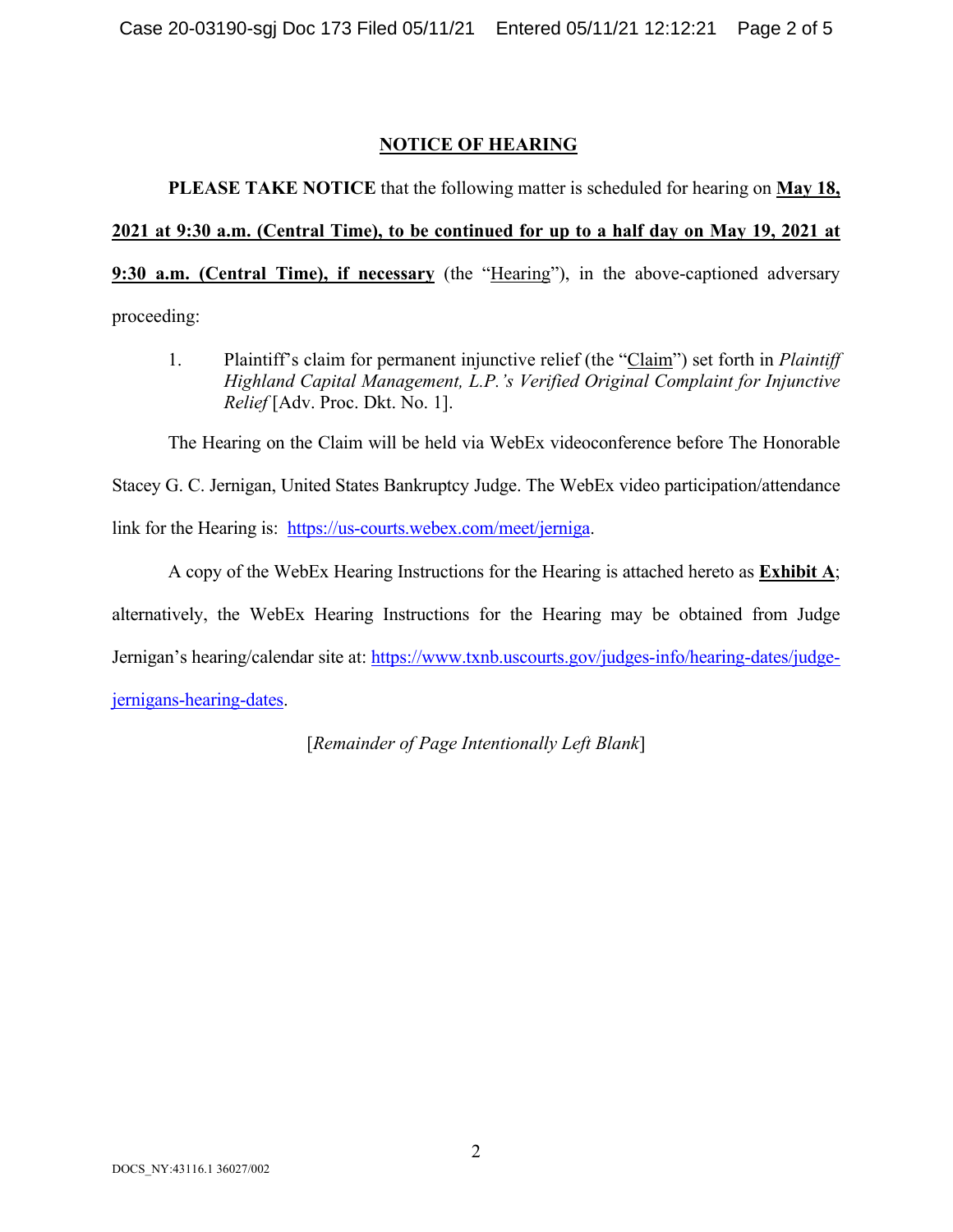# **NOTICE OF HEARING**

**PLEASE TAKE NOTICE** that the following matter is scheduled for hearing on **May 18, 2021 at 9:30 a.m. (Central Time), to be continued for up to a half day on May 19, 2021 at 9:30 a.m. (Central Time), if necessary** (the "Hearing"), in the above-captioned adversary proceeding:

1. Plaintiff's claim for permanent injunctive relief (the "Claim") set forth in *Plaintiff Highland Capital Management, L.P.'s Verified Original Complaint for Injunctive Relief* [Adv. Proc. Dkt. No. 1].

The Hearing on the Claim will be held via WebEx videoconference before The Honorable

Stacey G. C. Jernigan, United States Bankruptcy Judge. The WebEx video participation/attendance

link for the Hearing is: [https://us-courts.webex.com/meet/jerniga.](https://us-courts.webex.com/meet/jerniga)

A copy of the WebEx Hearing Instructions for the Hearing is attached hereto as **Exhibit A**; alternatively, the WebEx Hearing Instructions for the Hearing may be obtained from Judge Jernigan's hearing/calendar site at: [https://www.txnb.uscourts.gov/judges-info/hearing-dates/judge](https://www.txnb.uscourts.gov/judges-info/hearing-dates/judge-jernigans-hearing-dates)[jernigans-hearing-dates.](https://www.txnb.uscourts.gov/judges-info/hearing-dates/judge-jernigans-hearing-dates)

[*Remainder of Page Intentionally Left Blank*]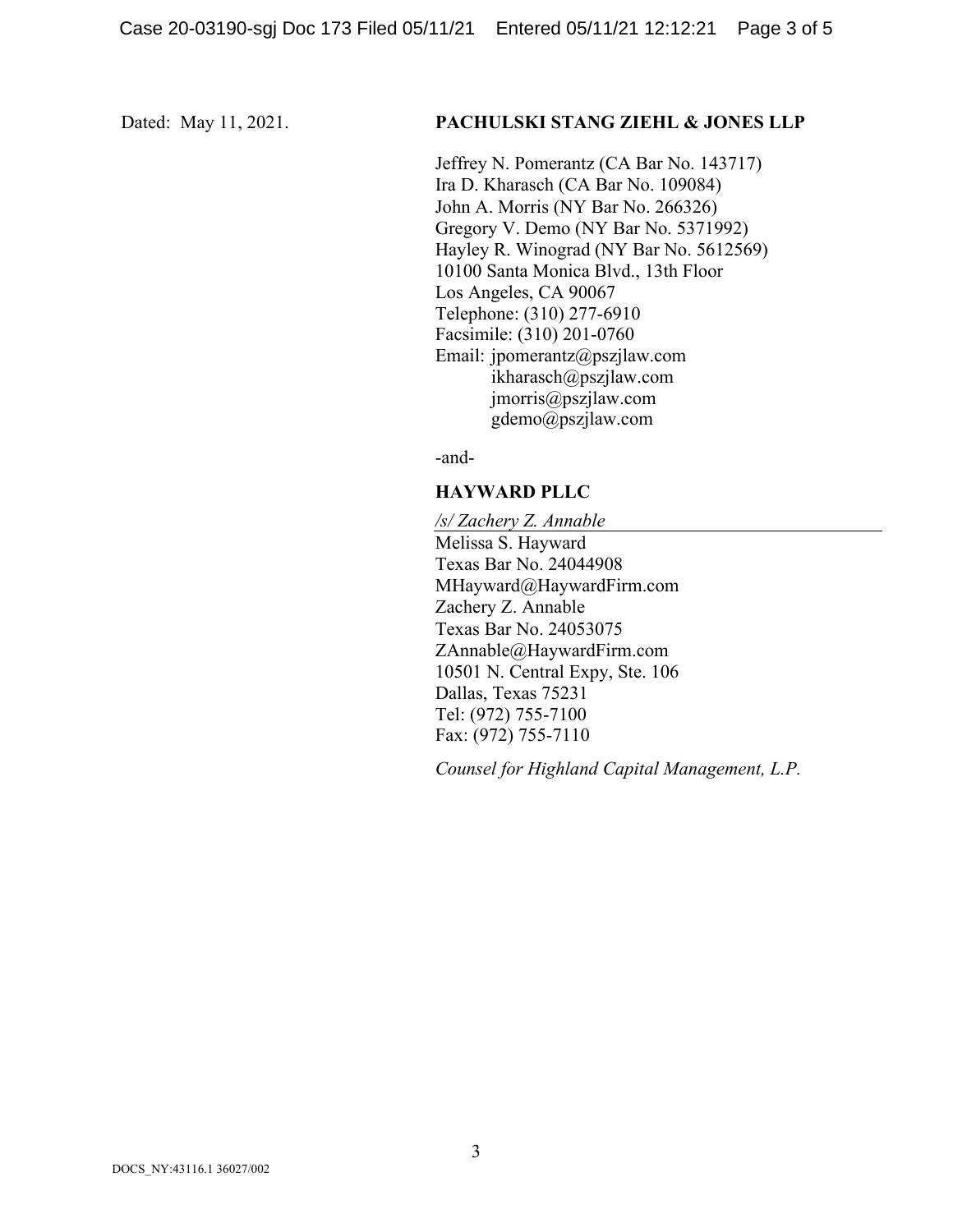### Dated: May 11, 2021. **PACHULSKI STANG ZIEHL & JONES LLP**

Jeffrey N. Pomerantz (CA Bar No. 143717) Ira D. Kharasch (CA Bar No. 109084) John A. Morris (NY Bar No. 266326) Gregory V. Demo (NY Bar No. 5371992) Hayley R. Winograd (NY Bar No. 5612569) 10100 Santa Monica Blvd., 13th Floor Los Angeles, CA 90067 Telephone: (310) 277-6910 Facsimile: (310) 201-0760 Email: jpomerantz@pszjlaw.com ikharasch@pszjlaw.com jmorris@pszjlaw.com  $g$ demo@pszjlaw.com

-and-

## **HAYWARD PLLC**

*/s/ Zachery Z. Annable* Melissa S. Hayward Texas Bar No. 24044908 MHayward@HaywardFirm.com Zachery Z. Annable Texas Bar No. 24053075 ZAnnable@HaywardFirm.com 10501 N. Central Expy, Ste. 106 Dallas, Texas 75231 Tel: (972) 755-7100 Fax: (972) 755-7110

*Counsel for Highland Capital Management, L.P.*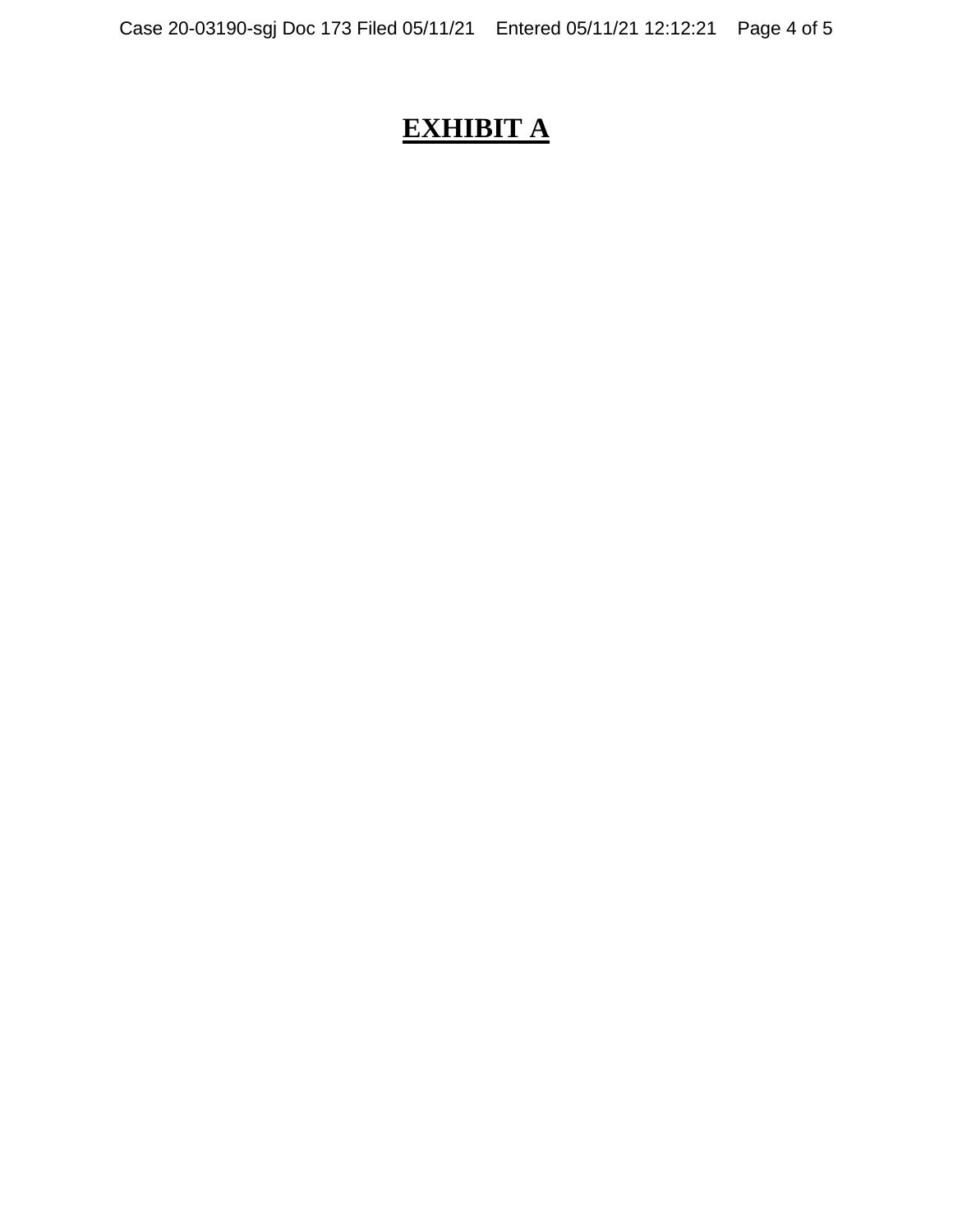# **EXHIBIT A**